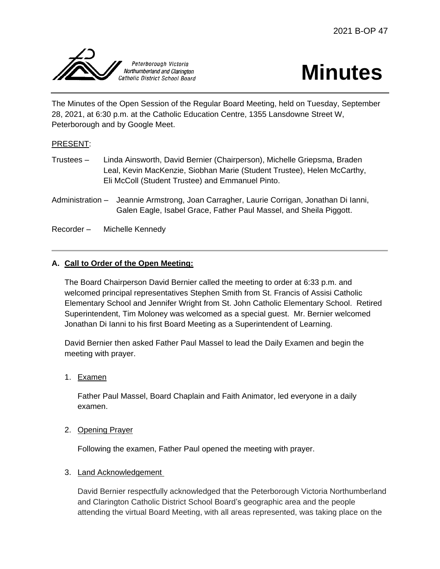



The Minutes of the Open Session of the Regular Board Meeting, held on Tuesday, September 28, 2021, at 6:30 p.m. at the Catholic Education Centre, 1355 Lansdowne Street W, Peterborough and by Google Meet.

# PRESENT:

- Trustees Linda Ainsworth, David Bernier (Chairperson), Michelle Griepsma, Braden Leal, Kevin MacKenzie, Siobhan Marie (Student Trustee), Helen McCarthy, Eli McColl (Student Trustee) and Emmanuel Pinto.
- Administration Jeannie Armstrong, Joan Carragher, Laurie Corrigan, Jonathan Di Ianni, Galen Eagle, Isabel Grace, Father Paul Massel, and Sheila Piggott.
- Recorder Michelle Kennedy

# **A. Call to Order of the Open Meeting:**

The Board Chairperson David Bernier called the meeting to order at 6:33 p.m. and welcomed principal representatives Stephen Smith from St. Francis of Assisi Catholic Elementary School and Jennifer Wright from St. John Catholic Elementary School. Retired Superintendent, Tim Moloney was welcomed as a special guest. Mr. Bernier welcomed Jonathan Di Ianni to his first Board Meeting as a Superintendent of Learning.

David Bernier then asked Father Paul Massel to lead the Daily Examen and begin the meeting with prayer.

1. Examen

Father Paul Massel, Board Chaplain and Faith Animator, led everyone in a daily examen.

2. Opening Prayer

Following the examen, Father Paul opened the meeting with prayer.

#### 3. Land Acknowledgement

David Bernier respectfully acknowledged that the Peterborough Victoria Northumberland and Clarington Catholic District School Board's geographic area and the people attending the virtual Board Meeting, with all areas represented, was taking place on the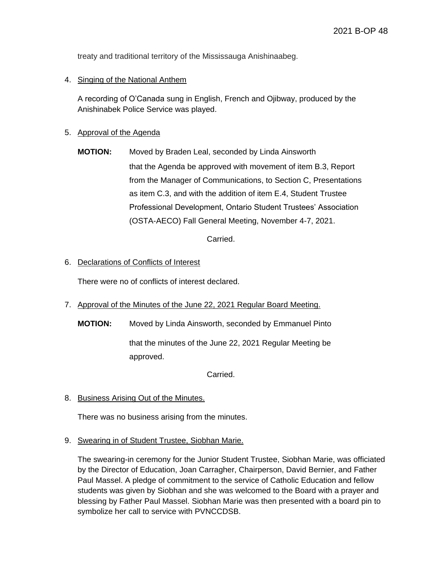treaty and traditional territory of the Mississauga Anishinaabeg.

## 4. Singing of the National Anthem

A recording of O'Canada sung in English, French and Ojibway, produced by the Anishinabek Police Service was played.

## 5. Approval of the Agenda

**MOTION:** Moved by Braden Leal, seconded by Linda Ainsworth that the Agenda be approved with movement of item B.3, Report from the Manager of Communications, to Section C, Presentations as item C.3, and with the addition of item E.4, Student Trustee Professional Development, Ontario Student Trustees' Association (OSTA-AECO) Fall General Meeting, November 4-7, 2021.

Carried.

### 6. Declarations of Conflicts of Interest

There were no of conflicts of interest declared.

7. Approval of the Minutes of the June 22, 2021 Regular Board Meeting.

**MOTION:** Moved by Linda Ainsworth, seconded by Emmanuel Pinto

that the minutes of the June 22, 2021 Regular Meeting be approved.

Carried.

8. Business Arising Out of the Minutes.

There was no business arising from the minutes.

9. Swearing in of Student Trustee, Siobhan Marie.

The swearing-in ceremony for the Junior Student Trustee, Siobhan Marie, was officiated by the Director of Education, Joan Carragher, Chairperson, David Bernier, and Father Paul Massel. A pledge of commitment to the service of Catholic Education and fellow students was given by Siobhan and she was welcomed to the Board with a prayer and blessing by Father Paul Massel. Siobhan Marie was then presented with a board pin to symbolize her call to service with PVNCCDSB.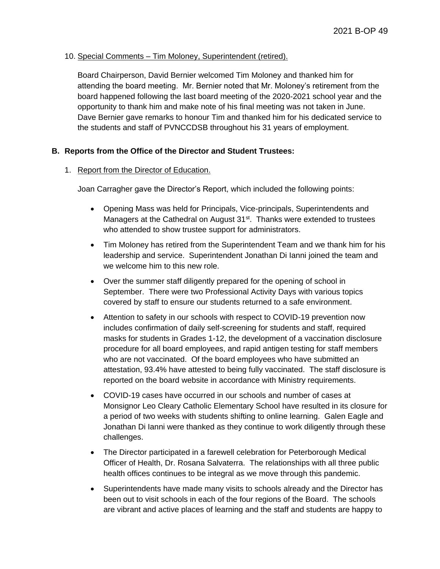## 10. Special Comments – Tim Moloney, Superintendent (retired).

Board Chairperson, David Bernier welcomed Tim Moloney and thanked him for attending the board meeting. Mr. Bernier noted that Mr. Moloney's retirement from the board happened following the last board meeting of the 2020-2021 school year and the opportunity to thank him and make note of his final meeting was not taken in June. Dave Bernier gave remarks to honour Tim and thanked him for his dedicated service to the students and staff of PVNCCDSB throughout his 31 years of employment.

# **B. Reports from the Office of the Director and Student Trustees:**

### 1. Report from the Director of Education.

Joan Carragher gave the Director's Report, which included the following points:

- Opening Mass was held for Principals, Vice-principals, Superintendents and Managers at the Cathedral on August 31<sup>st</sup>. Thanks were extended to trustees who attended to show trustee support for administrators.
- Tim Moloney has retired from the Superintendent Team and we thank him for his leadership and service. Superintendent Jonathan Di Ianni joined the team and we welcome him to this new role.
- Over the summer staff diligently prepared for the opening of school in September. There were two Professional Activity Days with various topics covered by staff to ensure our students returned to a safe environment.
- Attention to safety in our schools with respect to COVID-19 prevention now includes confirmation of daily self-screening for students and staff, required masks for students in Grades 1-12, the development of a vaccination disclosure procedure for all board employees, and rapid antigen testing for staff members who are not vaccinated. Of the board employees who have submitted an attestation, 93.4% have attested to being fully vaccinated. The staff disclosure is reported on the board website in accordance with Ministry requirements.
- COVID-19 cases have occurred in our schools and number of cases at Monsignor Leo Cleary Catholic Elementary School have resulted in its closure for a period of two weeks with students shifting to online learning. Galen Eagle and Jonathan Di Ianni were thanked as they continue to work diligently through these challenges.
- The Director participated in a farewell celebration for Peterborough Medical Officer of Health, Dr. Rosana Salvaterra. The relationships with all three public health offices continues to be integral as we move through this pandemic.
- Superintendents have made many visits to schools already and the Director has been out to visit schools in each of the four regions of the Board. The schools are vibrant and active places of learning and the staff and students are happy to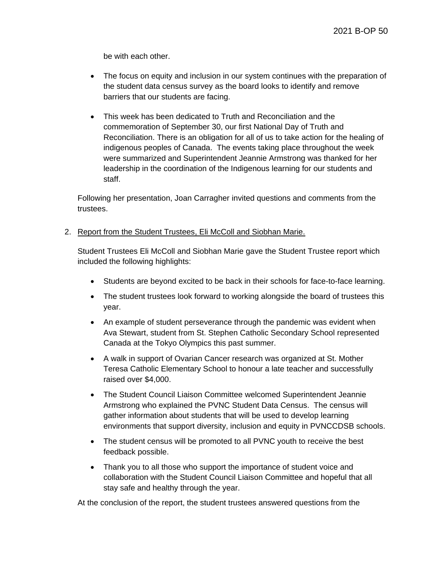be with each other.

- The focus on equity and inclusion in our system continues with the preparation of the student data census survey as the board looks to identify and remove barriers that our students are facing.
- This week has been dedicated to Truth and Reconciliation and the commemoration of September 30, our first National Day of Truth and Reconciliation. There is an obligation for all of us to take action for the healing of indigenous peoples of Canada. The events taking place throughout the week were summarized and Superintendent Jeannie Armstrong was thanked for her leadership in the coordination of the Indigenous learning for our students and staff.

Following her presentation, Joan Carragher invited questions and comments from the trustees.

2. Report from the Student Trustees, Eli McColl and Siobhan Marie.

Student Trustees Eli McColl and Siobhan Marie gave the Student Trustee report which included the following highlights:

- Students are beyond excited to be back in their schools for face-to-face learning.
- The student trustees look forward to working alongside the board of trustees this year.
- An example of student perseverance through the pandemic was evident when Ava Stewart, student from St. Stephen Catholic Secondary School represented Canada at the Tokyo Olympics this past summer.
- A walk in support of Ovarian Cancer research was organized at St. Mother Teresa Catholic Elementary School to honour a late teacher and successfully raised over \$4,000.
- The Student Council Liaison Committee welcomed Superintendent Jeannie Armstrong who explained the PVNC Student Data Census. The census will gather information about students that will be used to develop learning environments that support diversity, inclusion and equity in PVNCCDSB schools.
- The student census will be promoted to all PVNC youth to receive the best feedback possible.
- Thank you to all those who support the importance of student voice and collaboration with the Student Council Liaison Committee and hopeful that all stay safe and healthy through the year.

At the conclusion of the report, the student trustees answered questions from the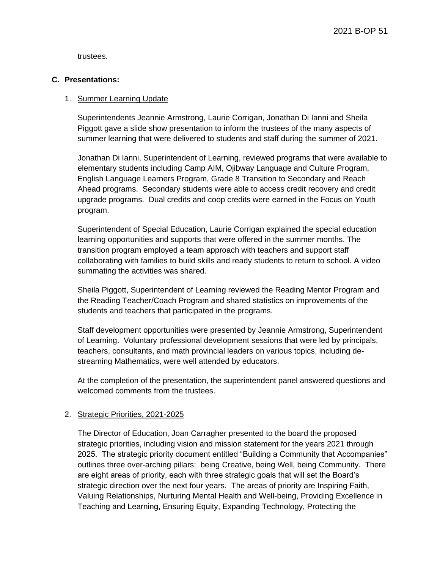trustees.

### **C. Presentations:**

## 1. Summer Learning Update

Superintendents Jeannie Armstrong, Laurie Corrigan, Jonathan Di Ianni and Sheila Piggott gave a slide show presentation to inform the trustees of the many aspects of summer learning that were delivered to students and staff during the summer of 2021.

Jonathan Di Ianni, Superintendent of Learning, reviewed programs that were available to elementary students including Camp AIM, Ojibway Language and Culture Program, English Language Learners Program, Grade 8 Transition to Secondary and Reach Ahead programs. Secondary students were able to access credit recovery and credit upgrade programs. Dual credits and coop credits were earned in the Focus on Youth program.

Superintendent of Special Education, Laurie Corrigan explained the special education learning opportunities and supports that were offered in the summer months. The transition program employed a team approach with teachers and support staff collaborating with families to build skills and ready students to return to school. A video summating the activities was shared.

Sheila Piggott, Superintendent of Learning reviewed the Reading Mentor Program and the Reading Teacher/Coach Program and shared statistics on improvements of the students and teachers that participated in the programs.

Staff development opportunities were presented by Jeannie Armstrong, Superintendent of Learning. Voluntary professional development sessions that were led by principals, teachers, consultants, and math provincial leaders on various topics, including destreaming Mathematics, were well attended by educators.

At the completion of the presentation, the superintendent panel answered questions and welcomed comments from the trustees.

# 2. Strategic Priorities, 2021-2025

The Director of Education, Joan Carragher presented to the board the proposed strategic priorities, including vision and mission statement for the years 2021 through 2025. The strategic priority document entitled "Building a Community that Accompanies" outlines three over-arching pillars: being Creative, being Well, being Community. There are eight areas of priority, each with three strategic goals that will set the Board's strategic direction over the next four years. The areas of priority are Inspiring Faith, Valuing Relationships, Nurturing Mental Health and Well-being, Providing Excellence in Teaching and Learning, Ensuring Equity, Expanding Technology, Protecting the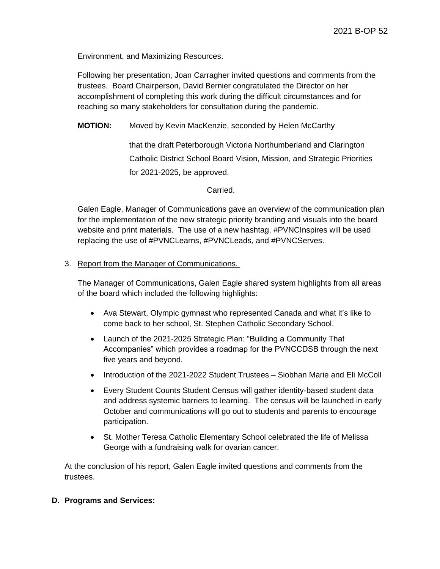Environment, and Maximizing Resources.

Following her presentation, Joan Carragher invited questions and comments from the trustees. Board Chairperson, David Bernier congratulated the Director on her accomplishment of completing this work during the difficult circumstances and for reaching so many stakeholders for consultation during the pandemic.

**MOTION:** Moved by Kevin MacKenzie, seconded by Helen McCarthy

that the draft Peterborough Victoria Northumberland and Clarington Catholic District School Board Vision, Mission, and Strategic Priorities for 2021-2025, be approved.

Carried.

Galen Eagle, Manager of Communications gave an overview of the communication plan for the implementation of the new strategic priority branding and visuals into the board website and print materials. The use of a new hashtag, #PVNCInspires will be used replacing the use of #PVNCLearns, #PVNCLeads, and #PVNCServes.

#### 3. Report from the Manager of Communications.

The Manager of Communications, Galen Eagle shared system highlights from all areas of the board which included the following highlights:

- Ava Stewart, Olympic gymnast who represented Canada and what it's like to come back to her school, St. Stephen Catholic Secondary School.
- Launch of the 2021-2025 Strategic Plan: "Building a Community That Accompanies" which provides a roadmap for the PVNCCDSB through the next five years and beyond.
- Introduction of the 2021-2022 Student Trustees Siobhan Marie and Eli McColl
- Every Student Counts Student Census will gather identity-based student data and address systemic barriers to learning. The census will be launched in early October and communications will go out to students and parents to encourage participation.
- St. Mother Teresa Catholic Elementary School celebrated the life of Melissa George with a fundraising walk for ovarian cancer.

At the conclusion of his report, Galen Eagle invited questions and comments from the trustees.

#### **D. Programs and Services:**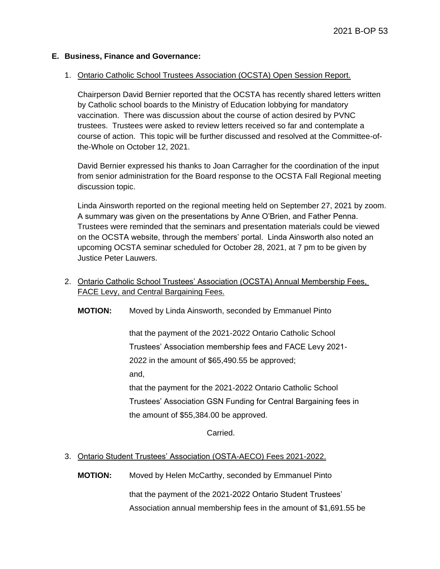#### **E. Business, Finance and Governance:**

#### 1. Ontario Catholic School Trustees Association (OCSTA) Open Session Report.

Chairperson David Bernier reported that the OCSTA has recently shared letters written by Catholic school boards to the Ministry of Education lobbying for mandatory vaccination. There was discussion about the course of action desired by PVNC trustees. Trustees were asked to review letters received so far and contemplate a course of action. This topic will be further discussed and resolved at the Committee-ofthe-Whole on October 12, 2021.

David Bernier expressed his thanks to Joan Carragher for the coordination of the input from senior administration for the Board response to the OCSTA Fall Regional meeting discussion topic.

Linda Ainsworth reported on the regional meeting held on September 27, 2021 by zoom. A summary was given on the presentations by Anne O'Brien, and Father Penna. Trustees were reminded that the seminars and presentation materials could be viewed on the OCSTA website, through the members' portal. Linda Ainsworth also noted an upcoming OCSTA seminar scheduled for October 28, 2021, at 7 pm to be given by Justice Peter Lauwers.

2. Ontario Catholic School Trustees' Association (OCSTA) Annual Membership Fees, FACE Levy, and Central Bargaining Fees.

**MOTION:** Moved by Linda Ainsworth, seconded by Emmanuel Pinto

that the payment of the 2021-2022 Ontario Catholic School Trustees' Association membership fees and FACE Levy 2021- 2022 in the amount of \$65,490.55 be approved; and,

that the payment for the 2021-2022 Ontario Catholic School Trustees' Association GSN Funding for Central Bargaining fees in the amount of \$55,384.00 be approved.

Carried.

# 3. Ontario Student Trustees' Association (OSTA-AECO) Fees 2021-2022.

**MOTION:** Moved by Helen McCarthy, seconded by Emmanuel Pinto

that the payment of the 2021-2022 Ontario Student Trustees' Association annual membership fees in the amount of \$1,691.55 be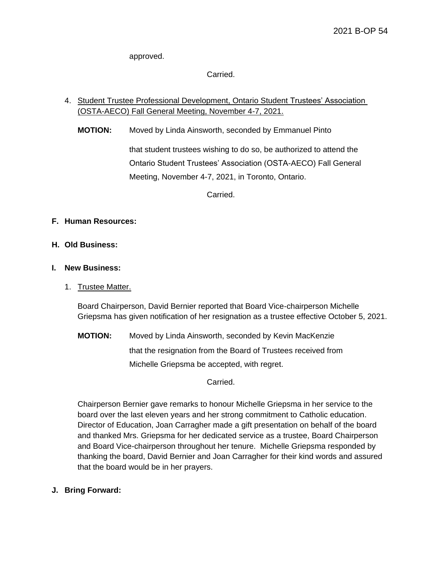approved.

Carried.

# 4. Student Trustee Professional Development, Ontario Student Trustees' Association (OSTA-AECO) Fall General Meeting, November 4-7, 2021.

**MOTION:** Moved by Linda Ainsworth, seconded by Emmanuel Pinto

that student trustees wishing to do so, be authorized to attend the Ontario Student Trustees' Association (OSTA-AECO) Fall General Meeting, November 4-7, 2021, in Toronto, Ontario.

Carried.

# **F. Human Resources:**

# **H. Old Business:**

# **I. New Business:**

1. Trustee Matter.

Board Chairperson, David Bernier reported that Board Vice-chairperson Michelle Griepsma has given notification of her resignation as a trustee effective October 5, 2021.

**MOTION:** Moved by Linda Ainsworth, seconded by Kevin MacKenzie that the resignation from the Board of Trustees received from Michelle Griepsma be accepted, with regret.

Carried.

Chairperson Bernier gave remarks to honour Michelle Griepsma in her service to the board over the last eleven years and her strong commitment to Catholic education. Director of Education, Joan Carragher made a gift presentation on behalf of the board and thanked Mrs. Griepsma for her dedicated service as a trustee, Board Chairperson and Board Vice-chairperson throughout her tenure. Michelle Griepsma responded by thanking the board, David Bernier and Joan Carragher for their kind words and assured that the board would be in her prayers.

# **J. Bring Forward:**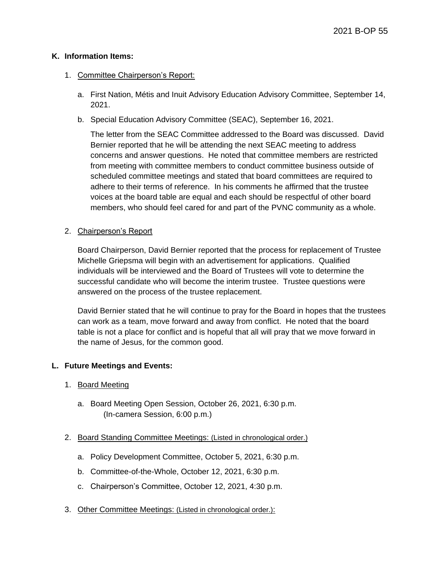## **K. Information Items:**

## 1. Committee Chairperson's Report:

- a. First Nation, Métis and Inuit Advisory Education Advisory Committee, September 14, 2021.
- b. Special Education Advisory Committee (SEAC), September 16, 2021.

The letter from the SEAC Committee addressed to the Board was discussed. David Bernier reported that he will be attending the next SEAC meeting to address concerns and answer questions. He noted that committee members are restricted from meeting with committee members to conduct committee business outside of scheduled committee meetings and stated that board committees are required to adhere to their terms of reference. In his comments he affirmed that the trustee voices at the board table are equal and each should be respectful of other board members, who should feel cared for and part of the PVNC community as a whole.

# 2. Chairperson's Report

Board Chairperson, David Bernier reported that the process for replacement of Trustee Michelle Griepsma will begin with an advertisement for applications. Qualified individuals will be interviewed and the Board of Trustees will vote to determine the successful candidate who will become the interim trustee. Trustee questions were answered on the process of the trustee replacement.

David Bernier stated that he will continue to pray for the Board in hopes that the trustees can work as a team, move forward and away from conflict. He noted that the board table is not a place for conflict and is hopeful that all will pray that we move forward in the name of Jesus, for the common good.

# **L. Future Meetings and Events:**

# 1. Board Meeting

- a. Board Meeting Open Session, October 26, 2021, 6:30 p.m. (In-camera Session, 6:00 p.m.)
- 2. Board Standing Committee Meetings: (Listed in chronological order.)
	- a. Policy Development Committee, October 5, 2021, 6:30 p.m.
	- b. Committee-of-the-Whole, October 12, 2021, 6:30 p.m.
	- c. Chairperson's Committee, October 12, 2021, 4:30 p.m.
- 3. Other Committee Meetings: (Listed in chronological order.):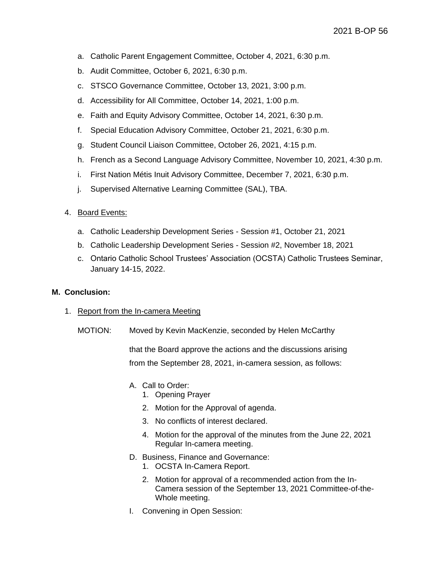- a. Catholic Parent Engagement Committee, October 4, 2021, 6:30 p.m.
- b. Audit Committee, October 6, 2021, 6:30 p.m.
- c. STSCO Governance Committee, October 13, 2021, 3:00 p.m.
- d. Accessibility for All Committee, October 14, 2021, 1:00 p.m.
- e. Faith and Equity Advisory Committee, October 14, 2021, 6:30 p.m.
- f. Special Education Advisory Committee, October 21, 2021, 6:30 p.m.
- g. Student Council Liaison Committee, October 26, 2021, 4:15 p.m.
- h. French as a Second Language Advisory Committee, November 10, 2021, 4:30 p.m.
- i. First Nation Métis Inuit Advisory Committee, December 7, 2021, 6:30 p.m.
- j. Supervised Alternative Learning Committee (SAL), TBA.

### 4. Board Events:

- a. Catholic Leadership Development Series Session #1, October 21, 2021
- b. Catholic Leadership Development Series Session #2, November 18, 2021
- c. Ontario Catholic School Trustees' Association (OCSTA) Catholic Trustees Seminar, January 14-15, 2022.

#### **M. Conclusion:**

#### 1. Report from the In-camera Meeting

MOTION: Moved by Kevin MacKenzie, seconded by Helen McCarthy

that the Board approve the actions and the discussions arising from the September 28, 2021, in-camera session, as follows:

- A. Call to Order:
	- 1. Opening Prayer
	- 2. Motion for the Approval of agenda.
	- 3. No conflicts of interest declared.
	- 4. Motion for the approval of the minutes from the June 22, 2021 Regular In-camera meeting.
- D. Business, Finance and Governance:
	- 1. OCSTA In-Camera Report.
	- 2. Motion for approval of a recommended action from the In-Camera session of the September 13, 2021 Committee-of-the-Whole meeting.
- I. Convening in Open Session: